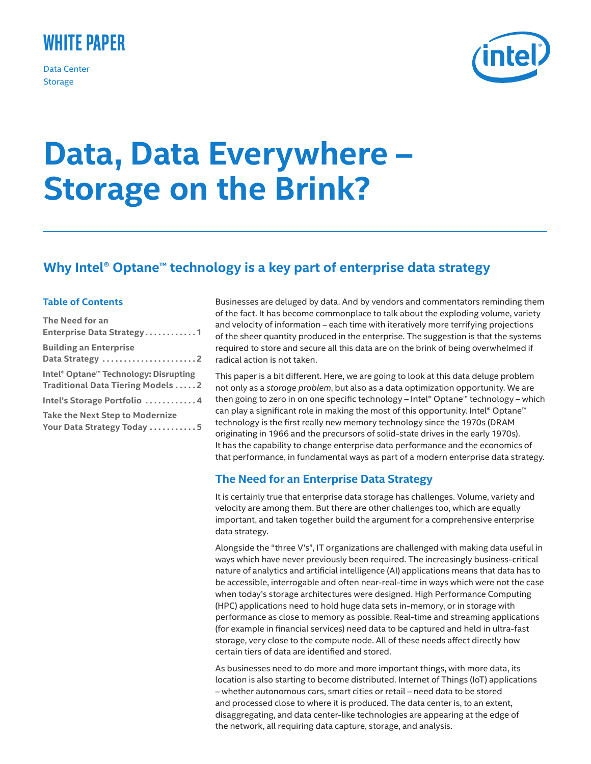# **White Paper**

Data Center **Storage** 



# **Data, Data Everywhere – Storage on the Brink?**

# **Why Intel® Optane™ technology is a key part of enterprise data strategy**

#### **Table of Contents**

| The Need for an<br>Enterprise Data Strategy1                                                 |
|----------------------------------------------------------------------------------------------|
| <b>Building an Enterprise</b><br>Data Strategy $\ldots \ldots \ldots \ldots \ldots \ldots$ . |
| Intel® Optane™ Technology: Disrupting<br><b>Traditional Data Tiering Models2</b>             |
| Intel's Storage Portfolio 4                                                                  |
| <b>Take the Next Step to Modernize</b><br>Your Data Strategy Today 5                         |

Businesses are deluged by data. And by vendors and commentators reminding them of the fact. It has become commonplace to talk about the exploding volume, variety and velocity of information – each time with iteratively more terrifying projections of the sheer quantity produced in the enterprise. The suggestion is that the systems required to store and secure all this data are on the brink of being overwhelmed if radical action is not taken.

This paper is a bit different. Here, we are going to look at this data deluge problem not only as a *storage problem*, but also as a data optimization opportunity. We are then going to zero in on one specific technology – Intel® Optane™ technology – which can play a significant role in making the most of this opportunity. Intel® Optane™ technology is the first really new memory technology since the 1970s (DRAM originating in 1966 and the precursors of solid-state drives in the early 1970s). It has the capability to change enterprise data performance and the economics of that performance, in fundamental ways as part of a modern enterprise data strategy.

# **The Need for an Enterprise Data Strategy**

It is certainly true that enterprise data storage has challenges. Volume, variety and velocity are among them. But there are other challenges too, which are equally important, and taken together build the argument for a comprehensive enterprise data strategy.

Alongside the "three V's", IT organizations are challenged with making data useful in ways which have never previously been required. The increasingly business-critical nature of analytics and artificial intelligence (AI) applications means that data has to be accessible, interrogable and often near-real-time in ways which were not the case when today's storage architectures were designed. High Performance Computing (HPC) applications need to hold huge data sets in-memory, or in storage with performance as close to memory as possible. Real-time and streaming applications (for example in financial services) need data to be captured and held in ultra-fast storage, very close to the compute node. All of these needs affect directly how certain tiers of data are identified and stored.

As businesses need to do more and more important things, with more data, its location is also starting to become distributed. Internet of Things (IoT) applications – whether autonomous cars, smart cities or retail – need data to be stored and processed close to where it is produced. The data center is, to an extent, disaggregating, and data center-like technologies are appearing at the edge of the network, all requiring data capture, storage, and analysis.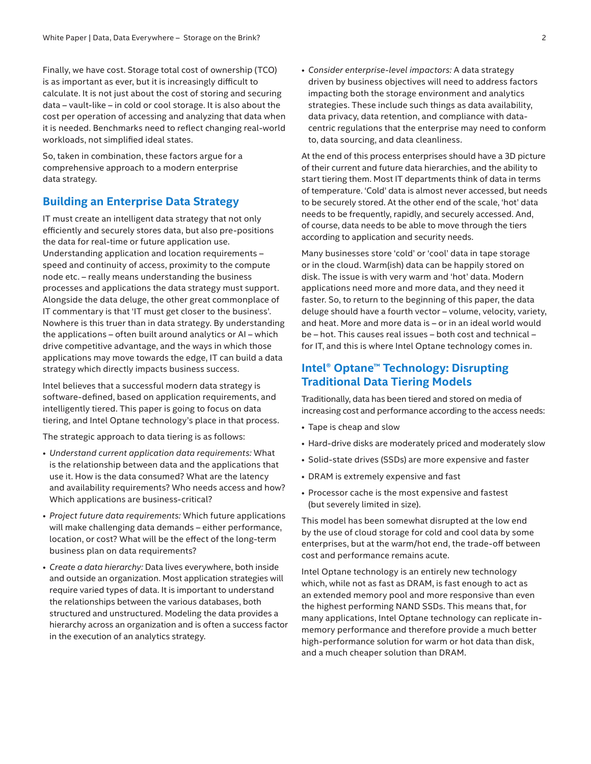<span id="page-1-0"></span>Finally, we have cost. Storage total cost of ownership (TCO) is as important as ever, but it is increasingly difficult to calculate. It is not just about the cost of storing and securing data – vault-like – in cold or cool storage. It is also about the cost per operation of accessing and analyzing that data when it is needed. Benchmarks need to reflect changing real-world workloads, not simplified ideal states.

So, taken in combination, these factors argue for a comprehensive approach to a modern enterprise data strategy.

## **Building an Enterprise Data Strategy**

IT must create an intelligent data strategy that not only efficiently and securely stores data, but also pre-positions the data for real-time or future application use. Understanding application and location requirements – speed and continuity of access, proximity to the compute node etc. – really means understanding the business processes and applications the data strategy must support. Alongside the data deluge, the other great commonplace of IT commentary is that 'IT must get closer to the business'. Nowhere is this truer than in data strategy. By understanding the applications – often built around analytics or AI – which drive competitive advantage, and the ways in which those applications may move towards the edge, IT can build a data strategy which directly impacts business success.

Intel believes that a successful modern data strategy is software-defined, based on application requirements, and intelligently tiered. This paper is going to focus on data tiering, and Intel Optane technology's place in that process.

The strategic approach to data tiering is as follows:

- *• Understand current application data requirements:* What is the relationship between data and the applications that use it. How is the data consumed? What are the latency and availability requirements? Who needs access and how? Which applications are business-critical?
- *• Project future data requirements:* Which future applications will make challenging data demands – either performance, location, or cost? What will be the effect of the long-term business plan on data requirements?
- *• Create a data hierarchy:* Data lives everywhere, both inside and outside an organization. Most application strategies will require varied types of data. It is important to understand the relationships between the various databases, both structured and unstructured. Modeling the data provides a hierarchy across an organization and is often a success factor in the execution of an analytics strategy.

*• Consider enterprise-level impactors:* A data strategy driven by business objectives will need to address factors impacting both the storage environment and analytics strategies. These include such things as data availability, data privacy, data retention, and compliance with datacentric regulations that the enterprise may need to conform to, data sourcing, and data cleanliness.

At the end of this process enterprises should have a 3D picture of their current and future data hierarchies, and the ability to start tiering them. Most IT departments think of data in terms of temperature. 'Cold' data is almost never accessed, but needs to be securely stored. At the other end of the scale, 'hot' data needs to be frequently, rapidly, and securely accessed. And, of course, data needs to be able to move through the tiers according to application and security needs.

Many businesses store 'cold' or 'cool' data in tape storage or in the cloud. Warm(ish) data can be happily stored on disk. The issue is with very warm and 'hot' data. Modern applications need more and more data, and they need it faster. So, to return to the beginning of this paper, the data deluge should have a fourth vector – volume, velocity, variety, and heat. More and more data is – or in an ideal world would be – hot. This causes real issues – both cost and technical – for IT, and this is where Intel Optane technology comes in.

# **Intel® Optane™ Technology: Disrupting Traditional Data Tiering Models**

Traditionally, data has been tiered and stored on media of increasing cost and performance according to the access needs:

- Tape is cheap and slow
- Hard-drive disks are moderately priced and moderately slow
- Solid-state drives (SSDs) are more expensive and faster
- DRAM is extremely expensive and fast
- Processor cache is the most expensive and fastest (but severely limited in size).

This model has been somewhat disrupted at the low end by the use of cloud storage for cold and cool data by some enterprises, but at the warm/hot end, the trade-off between cost and performance remains acute.

Intel Optane technology is an entirely new technology which, while not as fast as DRAM, is fast enough to act as an extended memory pool and more responsive than even the highest performing NAND SSDs. This means that, for many applications, Intel Optane technology can replicate inmemory performance and therefore provide a much better high-performance solution for warm or hot data than disk, and a much cheaper solution than DRAM.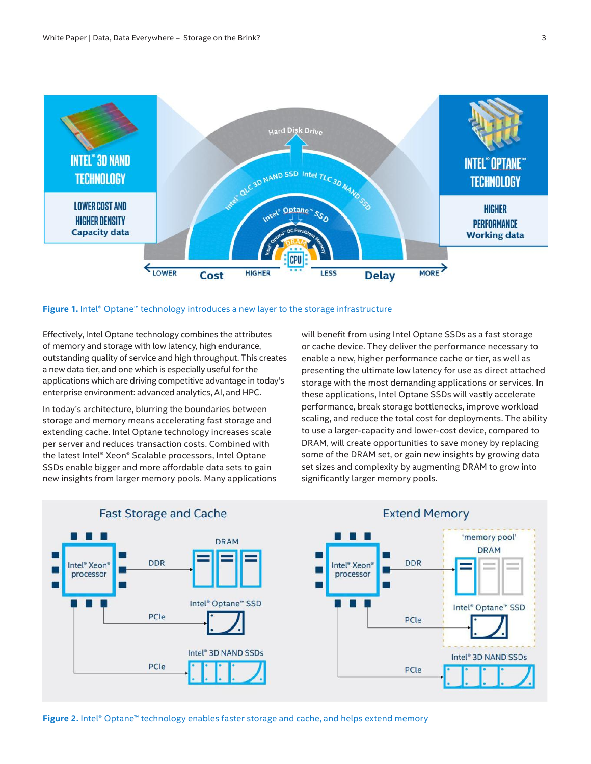<span id="page-2-0"></span>

#### **Figure 1.** Intel® Optane™ technology introduces a new layer to the storage infrastructure

Effectively, Intel Optane technology combines the attributes of memory and storage with low latency, high endurance, outstanding quality of service and high throughput. This creates a new data tier, and one which is especially useful for the applications which are driving competitive advantage in today's enterprise environment: advanced analytics, AI, and HPC.

In today's architecture, blurring the boundaries between storage and memory means accelerating fast storage and extending cache. Intel Optane technology increases scale per server and reduces transaction costs. Combined with the latest Intel® Xeon® Scalable processors, Intel Optane SSDs enable bigger and more affordable data sets to gain new insights from larger memory pools. Many applications will benefit from using Intel Optane SSDs as a fast storage or cache device. They deliver the performance necessary to enable a new, higher performance cache or tier, as well as presenting the ultimate low latency for use as direct attached storage with the most demanding applications or services. In these applications, Intel Optane SSDs will vastly accelerate performance, break storage bottlenecks, improve workload scaling, and reduce the total cost for deployments. The ability to use a larger-capacity and lower-cost device, compared to DRAM, will create opportunities to save money by replacing some of the DRAM set, or gain new insights by growing data set sizes and complexity by augmenting DRAM to grow into significantly larger memory pools.





**Figure 2.** Intel® Optane™ technology enables faster storage and cache, and helps extend memory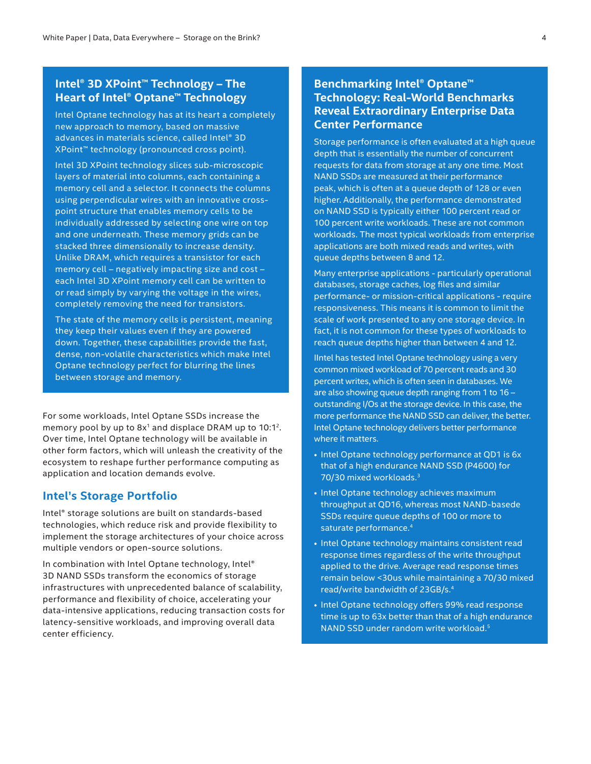# **Intel® 3D XPoint™ Technology – The Heart of Intel® Optane™ Technology**

Intel Optane technology has at its heart a completely new approach to memory, based on massive advances in materials science, called Intel® 3D XPoint™ technology (pronounced cross point).

Intel 3D XPoint technology slices sub-microscopic layers of material into columns, each containing a memory cell and a selector. It connects the columns using perpendicular wires with an innovative crosspoint structure that enables memory cells to be individually addressed by selecting one wire on top and one underneath. These memory grids can be stacked three dimensionally to increase density. Unlike DRAM, which requires a transistor for each memory cell – negatively impacting size and cost – each Intel 3D XPoint memory cell can be written to or read simply by varying the voltage in the wires, completely removing the need for transistors.

The state of the memory cells is persistent, meaning they keep their values even if they are powered down. Together, these capabilities provide the fast, dense, non-volatile characteristics which make Intel Optane technology perfect for blurring the lines between storage and memory.

For some workloads, Intel Optane SSDs increase the memory pool by up to  $8x<sup>1</sup>$  and displace DRAM up to  $10:1<sup>2</sup>$ . Over time, Intel Optane technology will be available in other form factors, which will unleash the creativity of the ecosystem to reshape further performance computing as application and location demands evolve.

## **Intel's Storage Portfolio**

Intel® storage solutions are built on standards-based technologies, which reduce risk and provide flexibility to implement the storage architectures of your choice across multiple vendors or open-source solutions.

In combination with Intel Optane technology, Intel® 3D NAND SSDs transform the economics of storage infrastructures with unprecedented balance of scalability, performance and flexibility of choice, accelerating your data-intensive applications, reducing transaction costs for latency-sensitive workloads, and improving overall data center efficiency.

# **Benchmarking Intel® Optane™ Technology: Real-World Benchmarks Reveal Extraordinary Enterprise Data Center Performance**

Storage performance is often evaluated at a high queue depth that is essentially the number of concurrent requests for data from storage at any one time. Most NAND SSDs are measured at their performance peak, which is often at a queue depth of 128 or even higher. Additionally, the performance demonstrated on NAND SSD is typically either 100 percent read or 100 percent write workloads. These are not common workloads. The most typical workloads from enterprise applications are both mixed reads and writes, with queue depths between 8 and 12.

Many enterprise applications - particularly operational databases, storage caches, log files and similar performance- or mission-critical applications - require responsiveness. This means it is common to limit the scale of work presented to any one storage device. In fact, it is not common for these types of workloads to reach queue depths higher than between 4 and 12.

IIntel has tested Intel Optane technology using a very common mixed workload of 70 percent reads and 30 percent writes, which is often seen in databases. We are also showing queue depth ranging from 1 to 16 – outstanding I/Os at the storage device. In this case, the more performance the NAND SSD can deliver, the better. Intel Optane technology delivers better performance where it matters.

- Intel Optane technology performance at QD1 is 6x that of a high endurance NAND SSD (P4600) for 70/30 mixed workloads.<sup>3</sup>
- Intel Optane technology achieves maximum throughput at QD16, whereas most NAND-basede SSDs require queue depths of 100 or more to saturate performance.4
- Intel Optane technology maintains consistent read response times regardless of the write throughput applied to the drive. Average read response times remain below <30us while maintaining a 70/30 mixed read/write bandwidth of 23GB/s.4
- Intel Optane technology offers 99% read response time is up to 63x better than that of a high endurance NAND SSD under random write workload.5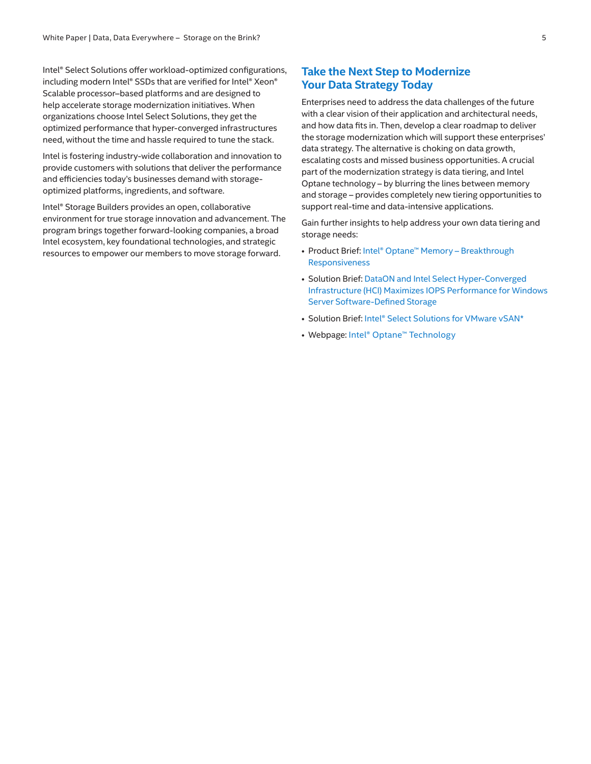Intel® Select Solutions offer workload-optimized configurations, including modern Intel® SSDs that are verified for Intel® Xeon® Scalable processor–based platforms and are designed to help accelerate storage modernization initiatives. When organizations choose Intel Select Solutions, they get the optimized performance that hyper-converged infrastructures need, without the time and hassle required to tune the stack.

Intel is fostering industry-wide collaboration and innovation to provide customers with solutions that deliver the performance and efficiencies today's businesses demand with storageoptimized platforms, ingredients, and software.

Intel® Storage Builders provides an open, collaborative environment for true storage innovation and advancement. The program brings together forward-looking companies, a broad Intel ecosystem, key foundational technologies, and strategic resources to empower our members to move storage forward.

# **Take the Next Step to Modernize Your Data Strategy Today**

Enterprises need to address the data challenges of the future with a clear vision of their application and architectural needs, and how data fits in. Then, develop a clear roadmap to deliver the storage modernization which will support these enterprises' data strategy. The alternative is choking on data growth, escalating costs and missed business opportunities. A crucial part of the modernization strategy is data tiering, and Intel Optane technology – by blurring the lines between memory and storage – provides completely new tiering opportunities to support real-time and data-intensive applications.

Gain further insights to help address your own data tiering and storage needs:

- Product Brief: [Intel® Optane™ Memory Breakthrough](https://www.intel.com/content/www/us/en/architecture-and-technology/optane-memory-brief.html)  [Responsiveness](https://www.intel.com/content/www/us/en/architecture-and-technology/optane-memory-brief.html)
- Solution Brief: [DataON and Intel Select Hyper-Converged](http://doc.dataonstorage.com/solution-briefs-whitepaper/DataON_Intel_Select_Hyper-Converged_Infrastructure_HCI_Maximizes_IOPS_Performance_for_Windows_Server_2016_Storage_Spaces_Direct.pdf)  [Infrastructure \(HCI\) Maximizes IOPS Performance for Windows](http://doc.dataonstorage.com/solution-briefs-whitepaper/DataON_Intel_Select_Hyper-Converged_Infrastructure_HCI_Maximizes_IOPS_Performance_for_Windows_Server_2016_Storage_Spaces_Direct.pdf)  [Server Software-Defined Storage](http://doc.dataonstorage.com/solution-briefs-whitepaper/DataON_Intel_Select_Hyper-Converged_Infrastructure_HCI_Maximizes_IOPS_Performance_for_Windows_Server_2016_Storage_Spaces_Direct.pdf)
- Solution Brief: [Intel® Select Solutions for VMware vSAN\\*](https://www.intel.com/content/www/us/en/cloud-computing/select-vsan-solution-brief.html?wapkw=intel%C2%AE+select+solutions+for+vmware+vsan*+solution+brief)
- Webpage: [Intel® Optane™ Technology](https://www.intel.com/content/www/us/en/architecture-and-technology/intel-optane-technology.html)